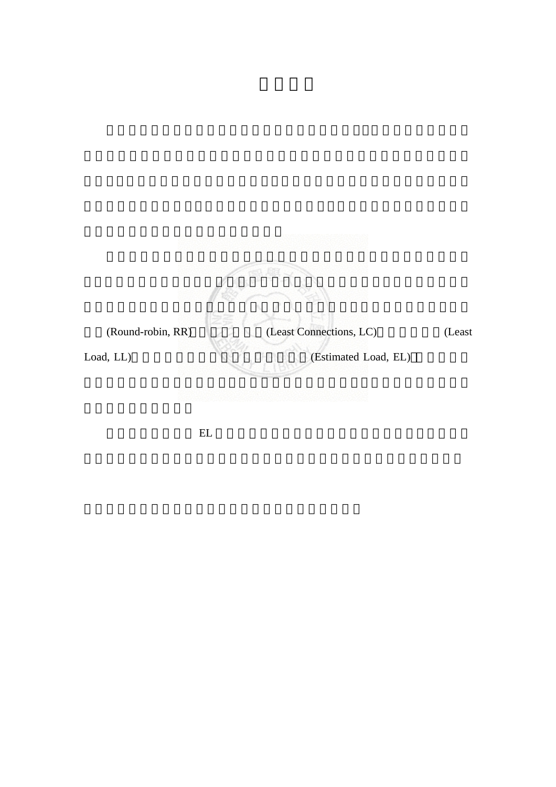

 $EL$